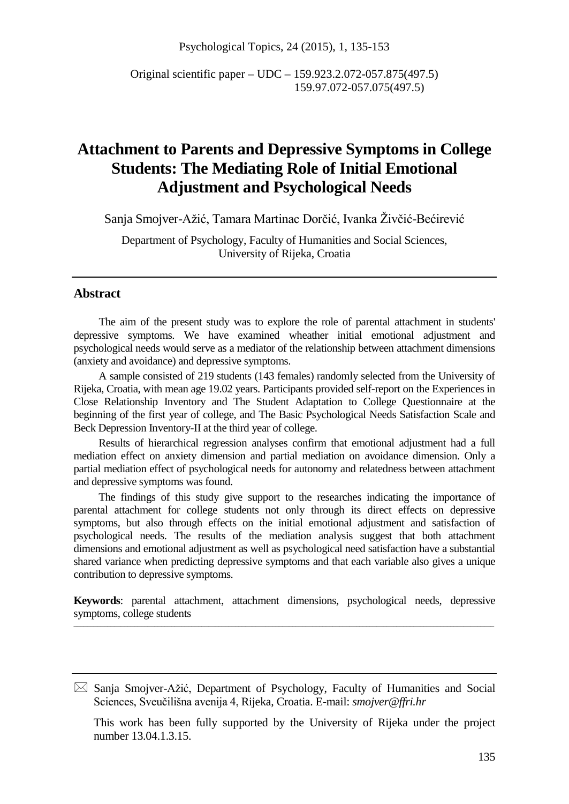Original scientific paper – UDC – 159.923.2.072-057.875(497.5) 159.97.072-057.075(497.5)

## **Attachment to Parents and Depressive Symptoms in College Students: The Mediating Role of Initial Emotional Adjustment and Psychological Needs**

Sanja Smojver-Ažić, Tamara Martinac Dorčić, Ivanka Živčić-Bećirević

Department of Psychology, Faculty of Humanities and Social Sciences, University of Rijeka, Croatia

#### **Abstract**

The aim of the present study was to explore the role of parental attachment in students' depressive symptoms. We have examined wheather initial emotional adjustment and psychological needs would serve as a mediator of the relationship between attachment dimensions (anxiety and avoidance) and depressive symptoms.

A sample consisted of 219 students (143 females) randomly selected from the University of Rijeka, Croatia, with mean age 19.02 years. Participants provided self-report on the Experiences in Close Relationship Inventory and The Student Adaptation to College Questionnaire at the beginning of the first year of college, and The Basic Psychological Needs Satisfaction Scale and Beck Depression Inventory-II at the third year of college.

Results of hierarchical regression analyses confirm that emotional adjustment had a full mediation effect on anxiety dimension and partial mediation on avoidance dimension. Only a partial mediation effect of psychological needs for autonomy and relatedness between attachment and depressive symptoms was found.

The findings of this study give support to the researches indicating the importance of parental attachment for college students not only through its direct effects on depressive symptoms, but also through effects on the initial emotional adjustment and satisfaction of psychological needs. The results of the mediation analysis suggest that both attachment dimensions and emotional adjustment as well as psychological need satisfaction have a substantial shared variance when predicting depressive symptoms and that each variable also gives a unique contribution to depressive symptoms.

**Keywords**: parental attachment, attachment dimensions, psychological needs, depressive symptoms, college students **\_\_\_\_\_\_\_\_\_\_\_\_\_\_\_\_\_\_\_\_\_\_\_\_\_\_\_\_\_\_\_\_\_\_\_\_\_\_\_\_\_\_\_\_\_\_\_\_\_\_\_\_\_\_\_\_\_\_\_\_\_\_\_\_\_\_\_\_\_\_\_\_\_\_\_\_\_\_\_\_\_\_\_\_\_\_\_\_\_\_\_\_\_\_\_\_\_\_\_\_\_\_\_\_\_\_\_\_\_\_\_\_\_\_\_\_\_\_\_\_\_\_\_\_\_**

 $\boxtimes$  Sanja Smojver-Ažić, Department of Psychology, Faculty of Humanities and Social Sciences, Sveučilišna avenija 4, Rijeka, Croatia. E-mail: *smojver@ffri.hr*

This work has been fully supported by the University of Rijeka under the project number 13.04.1.3.15.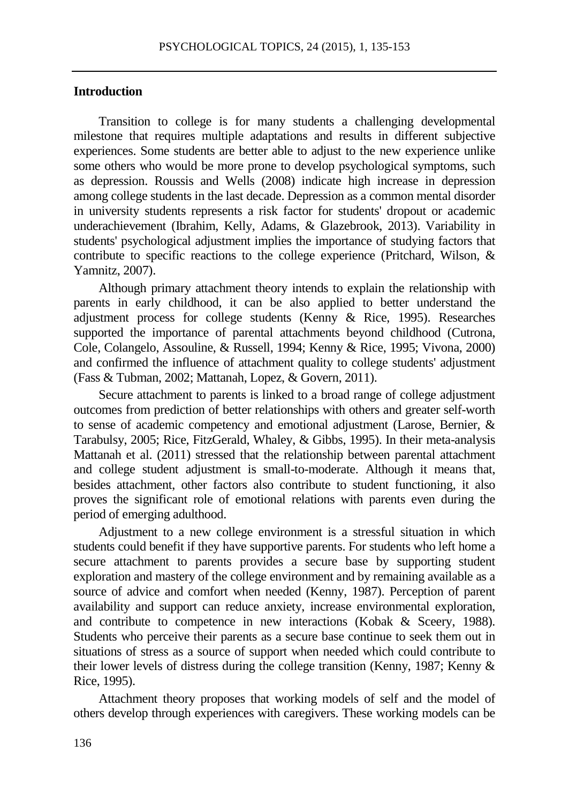## **Introduction**

Transition to college is for many students a challenging developmental milestone that requires multiple adaptations and results in different subjective experiences. Some students are better able to adjust to the new experience unlike some others who would be more prone to develop psychological symptoms, such as depression. Roussis and Wells (2008) indicate high increase in depression among college students in the last decade. Depression as a common mental disorder in university students represents a risk factor for students' dropout or academic underachievement (Ibrahim, Kelly, Adams, & Glazebrook, 2013). Variability in students' psychological adjustment implies the importance of studying factors that contribute to specific reactions to the college experience (Pritchard, Wilson, & Yamnitz, 2007).

Although primary attachment theory intends to explain the relationship with parents in early childhood, it can be also applied to better understand the adjustment process for college students (Kenny & Rice, 1995). Researches supported the importance of parental attachments beyond childhood (Cutrona, Cole, Colangelo, Assouline, & Russell, 1994; Kenny & Rice, 1995; Vivona, 2000) and confirmed the influence of attachment quality to college students' adjustment (Fass & Tubman, 2002; Mattanah, Lopez, & Govern, 2011).

Secure attachment to parents is linked to a broad range of college adjustment outcomes from prediction of better relationships with others and greater self-worth to sense of academic competency and emotional adjustment (Larose, Bernier, & Tarabulsy, 2005; Rice, FitzGerald, Whaley, & Gibbs, 1995). In their meta-analysis Mattanah et al. (2011) stressed that the relationship between parental attachment and college student adjustment is small-to-moderate. Although it means that, besides attachment, other factors also contribute to student functioning, it also proves the significant role of emotional relations with parents even during the period of emerging adulthood.

Adjustment to a new college environment is a stressful situation in which students could benefit if they have supportive parents. For students who left home a secure attachment to parents provides a secure base by supporting student exploration and mastery of the college environment and by remaining available as a source of advice and comfort when needed (Kenny, 1987). Perception of parent availability and support can reduce anxiety, increase environmental exploration, and contribute to competence in new interactions (Kobak & Sceery, 1988). Students who perceive their parents as a secure base continue to seek them out in situations of stress as a source of support when needed which could contribute to their lower levels of distress during the college transition (Kenny, 1987; Kenny & Rice, 1995).

Attachment theory proposes that working models of self and the model of others develop through experiences with caregivers. These working models can be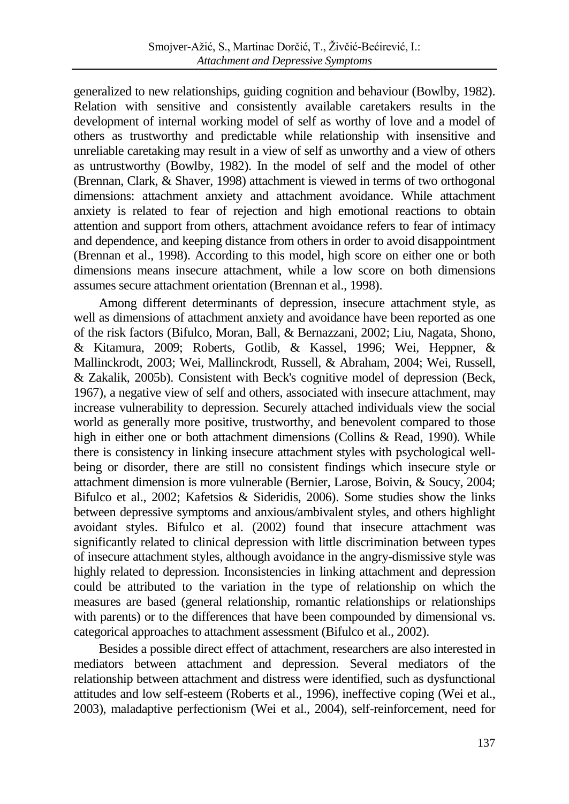generalized to new relationships, guiding cognition and behaviour (Bowlby, 1982). Relation with sensitive and consistently available caretakers results in the development of internal working model of self as worthy of love and a model of others as trustworthy and predictable while relationship with insensitive and unreliable caretaking may result in a view of self as unworthy and a view of others as untrustworthy (Bowlby, 1982). In the model of self and the model of other (Brennan, Clark, & Shaver, 1998) attachment is viewed in terms of two orthogonal dimensions: attachment anxiety and attachment avoidance. While attachment anxiety is related to fear of rejection and high emotional reactions to obtain attention and support from others, attachment avoidance refers to fear of intimacy and dependence, and keeping distance from others in order to avoid disappointment (Brennan et al., 1998). According to this model, high score on either one or both dimensions means insecure attachment, while a low score on both dimensions assumes secure attachment orientation (Brennan et al., 1998).

Among different determinants of depression, insecure attachment style, as well as dimensions of attachment anxiety and avoidance have been reported as one of the risk factors (Bifulco, Moran, Ball, & Bernazzani, 2002; Liu, Nagata, Shono, & Kitamura, 2009; Roberts, Gotlib, & Kassel, 1996; Wei, Heppner, & Mallinckrodt, 2003; Wei, Mallinckrodt, Russell, & Abraham, 2004; Wei, Russell, & Zakalik, 2005b). Consistent with Beck's cognitive model of depression (Beck, 1967), a negative view of self and others, associated with insecure attachment, may increase vulnerability to depression. Securely attached individuals view the social world as generally more positive, trustworthy, and benevolent compared to those high in either one or both attachment dimensions (Collins & Read, 1990). While there is consistency in linking insecure attachment styles with psychological wellbeing or disorder, there are still no consistent findings which insecure style or attachment dimension is more vulnerable (Bernier, Larose, Boivin, & Soucy, 2004; Bifulco et al., 2002; Kafetsios & Sideridis, 2006). Some studies show the links between depressive symptoms and anxious/ambivalent styles, and others highlight avoidant styles. Bifulco et al. (2002) found that insecure attachment was significantly related to clinical depression with little discrimination between types of insecure attachment styles, although avoidance in the angry-dismissive style was highly related to depression. Inconsistencies in linking attachment and depression could be attributed to the variation in the type of relationship on which the measures are based (general relationship, romantic relationships or relationships with parents) or to the differences that have been compounded by dimensional vs. categorical approaches to attachment assessment (Bifulco et al., 2002).

Besides a possible direct effect of attachment, researchers are also interested in mediators between attachment and depression. Several mediators of the relationship between attachment and distress were identified, such as dysfunctional attitudes and low self-esteem (Roberts et al., 1996), ineffective coping (Wei et al., 2003), maladaptive perfectionism (Wei et al., 2004), self-reinforcement, need for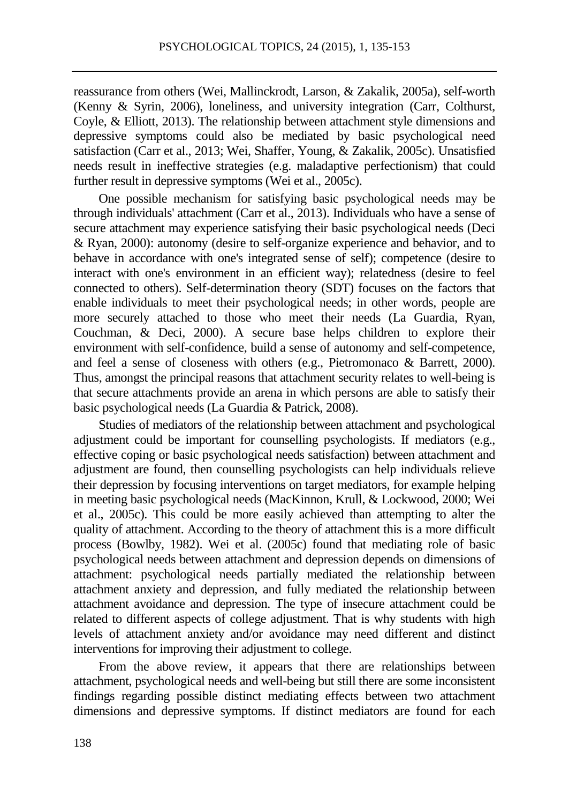reassurance from others (Wei, Mallinckrodt, Larson, & Zakalik, 2005a), self-worth (Kenny & Syrin, 2006), loneliness, and university integration (Carr, Colthurst, Coyle, & Elliott, 2013). The relationship between attachment style dimensions and depressive symptoms could also be mediated by basic psychological need satisfaction (Carr et al., 2013; Wei, Shaffer, Young, & Zakalik, 2005c). Unsatisfied needs result in ineffective strategies (e.g. maladaptive perfectionism) that could further result in depressive symptoms (Wei et al., 2005c).

One possible mechanism for satisfying basic psychological needs may be through individuals' attachment (Carr et al., 2013). Individuals who have a sense of secure attachment may experience satisfying their basic psychological needs (Deci & Ryan, 2000): autonomy (desire to self-organize experience and behavior, and to behave in accordance with one's integrated sense of self); competence (desire to interact with one's environment in an efficient way); relatedness (desire to feel connected to others). Self-determination theory (SDT) focuses on the factors that enable individuals to meet their psychological needs; in other words, people are more securely attached to those who meet their needs (La Guardia, Ryan, Couchman, & Deci, 2000). A secure base helps children to explore their environment with self-confidence, build a sense of autonomy and self-competence, and feel a sense of closeness with others (e.g., Pietromonaco & Barrett, 2000). Thus, amongst the principal reasons that attachment security relates to well-being is that secure attachments provide an arena in which persons are able to satisfy their basic psychological needs (La Guardia & Patrick, 2008).

Studies of mediators of the relationship between attachment and psychological adjustment could be important for counselling psychologists. If mediators (e.g., effective coping or basic psychological needs satisfaction) between attachment and adjustment are found, then counselling psychologists can help individuals relieve their depression by focusing interventions on target mediators, for example helping in meeting basic psychological needs (MacKinnon, Krull, & Lockwood, 2000; Wei et al., 2005c). This could be more easily achieved than attempting to alter the quality of attachment. According to the theory of attachment this is a more difficult process (Bowlby, 1982). Wei et al. (2005c) found that mediating role of basic psychological needs between attachment and depression depends on dimensions of attachment: psychological needs partially mediated the relationship between attachment anxiety and depression, and fully mediated the relationship between attachment avoidance and depression. The type of insecure attachment could be related to different aspects of college adjustment. That is why students with high levels of attachment anxiety and/or avoidance may need different and distinct interventions for improving their adjustment to college.

From the above review, it appears that there are relationships between attachment, psychological needs and well-being but still there are some inconsistent findings regarding possible distinct mediating effects between two attachment dimensions and depressive symptoms. If distinct mediators are found for each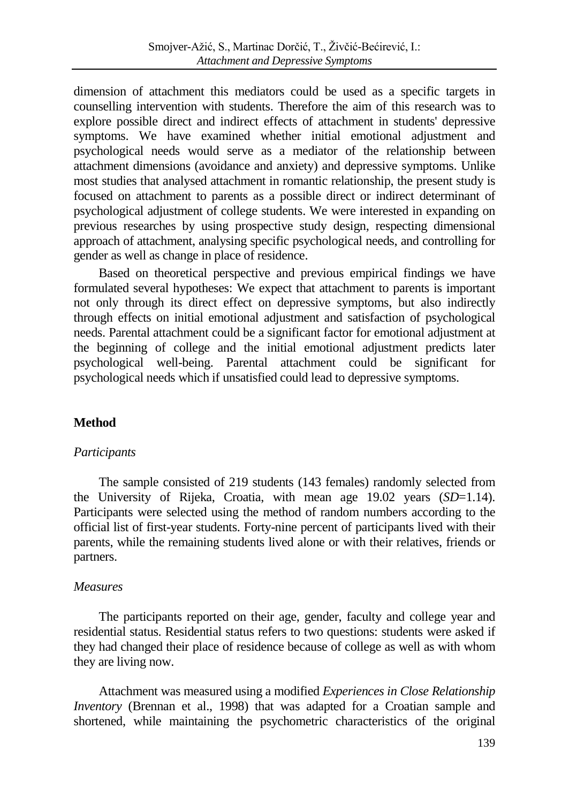dimension of attachment this mediators could be used as a specific targets in counselling intervention with students. Therefore the aim of this research was to explore possible direct and indirect effects of attachment in students' depressive symptoms. We have examined whether initial emotional adjustment and psychological needs would serve as a mediator of the relationship between attachment dimensions (avoidance and anxiety) and depressive symptoms. Unlike most studies that analysed attachment in romantic relationship, the present study is focused on attachment to parents as a possible direct or indirect determinant of psychological adjustment of college students. We were interested in expanding on previous researches by using prospective study design, respecting dimensional approach of attachment, analysing specific psychological needs, and controlling for gender as well as change in place of residence.

Based on theoretical perspective and previous empirical findings we have formulated several hypotheses: We expect that attachment to parents is important not only through its direct effect on depressive symptoms, but also indirectly through effects on initial emotional adjustment and satisfaction of psychological needs. Parental attachment could be a significant factor for emotional adjustment at the beginning of college and the initial emotional adjustment predicts later psychological well-being. Parental attachment could be significant for psychological needs which if unsatisfied could lead to depressive symptoms.

## **Method**

## *Participants*

The sample consisted of 219 students (143 females) randomly selected from the University of Rijeka, Croatia, with mean age 19.02 years (*SD*=1.14). Participants were selected using the method of random numbers according to the official list of first-year students. Forty-nine percent of participants lived with their parents, while the remaining students lived alone or with their relatives, friends or partners.

## *Measures*

The participants reported on their age, gender, faculty and college year and residential status. Residential status refers to two questions: students were asked if they had changed their place of residence because of college as well as with whom they are living now.

Attachment was measured using a modified *Experiences in Close Relationship Inventory* (Brennan et al., 1998) that was adapted for a Croatian sample and shortened, while maintaining the psychometric characteristics of the original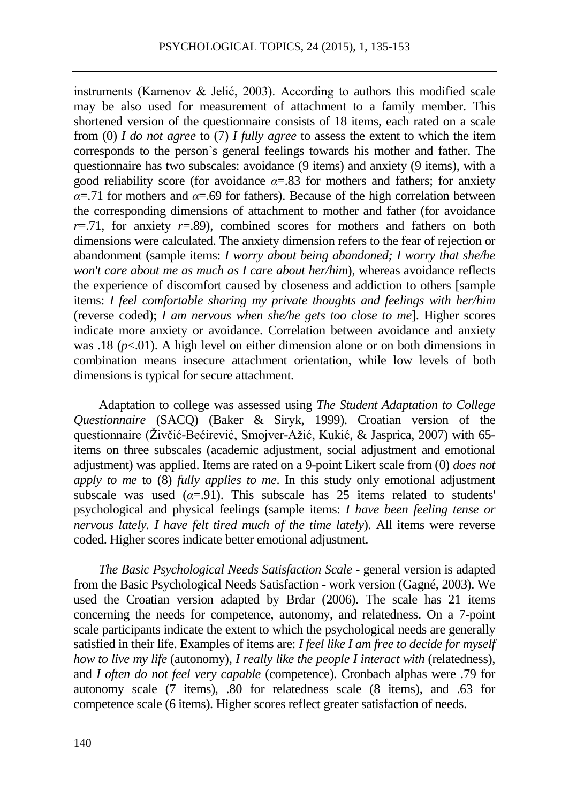instruments (Kamenov  $\&$  Jelić, 2003). According to authors this modified scale may be also used for measurement of attachment to a family member. This shortened version of the questionnaire consists of 18 items, each rated on a scale from (0) *I do not agree* to (7) *I fully agree* to assess the extent to which the item corresponds to the person`s general feelings towards his mother and father. The questionnaire has two subscales: avoidance (9 items) and anxiety (9 items), with a good reliability score (for avoidance  $\alpha = 0.83$  for mothers and fathers; for anxiety  $\alpha$ =.71 for mothers and  $\alpha$ =.69 for fathers). Because of the high correlation between the corresponding dimensions of attachment to mother and father (for avoidance  $r=0.71$ , for anxiety  $r=0.89$ , combined scores for mothers and fathers on both dimensions were calculated. The anxiety dimension refers to the fear of rejection or abandonment (sample items: *I worry about being abandoned; I worry that she/he won't care about me as much as I care about her/him*), whereas avoidance reflects the experience of discomfort caused by closeness and addiction to others [sample items: *I feel comfortable sharing my private thoughts and feelings with her/him* (reverse coded); *I am nervous when she/he gets too close to me*]. Higher scores indicate more anxiety or avoidance. Correlation between avoidance and anxiety was .18  $(p<.01)$ . A high level on either dimension alone or on both dimensions in combination means insecure attachment orientation, while low levels of both dimensions is typical for secure attachment.

Adaptation to college was assessed using *The Student Adaptation to College Questionnaire* (SACQ) (Baker & Siryk, 1999). Croatian version of the questionnaire (Živčić-Bećirević, Smojver-Ažić, Kukić, & Jasprica, 2007) with 65 items on three subscales (academic adjustment, social adjustment and emotional adjustment) was applied. Items are rated on a 9-point Likert scale from (0) *does not apply to me* to (8) *fully applies to me*. In this study only emotional adjustment subscale was used  $(\alpha = .91)$ . This subscale has 25 items related to students' psychological and physical feelings (sample items: *I have been feeling tense or nervous lately. I have felt tired much of the time lately*). All items were reverse coded. Higher scores indicate better emotional adjustment.

*The Basic Psychological Needs Satisfaction Scale* - general version is adapted from the Basic Psychological Needs Satisfaction - work version (Gagné, 2003). We used the Croatian version adapted by Brdar (2006). The scale has 21 items concerning the needs for competence, autonomy, and relatedness. On a 7-point scale participants indicate the extent to which the psychological needs are generally satisfied in their life. Examples of items are: *I feel like I am free to decide for myself how to live my life* (autonomy), *I really like the people I interact with* (relatedness), and *I often do not feel very capable* (competence). Cronbach alphas were .79 for autonomy scale (7 items), .80 for relatedness scale (8 items), and .63 for competence scale (6 items). Higher scores reflect greater satisfaction of needs.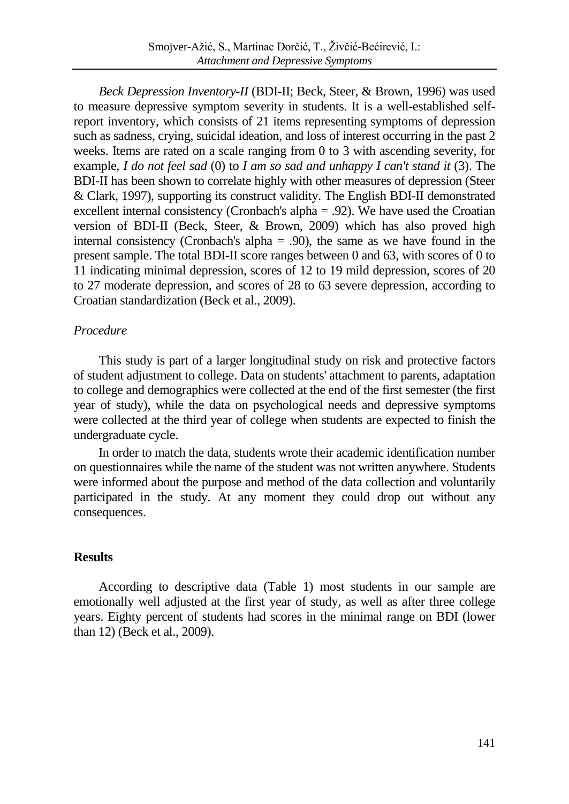*Beck Depression Inventory-II* (BDI-II; Beck, Steer, & Brown, 1996) was used to measure depressive symptom severity in students. It is a well-established selfreport inventory, which consists of 21 items representing symptoms of depression such as sadness, crying, suicidal ideation, and loss of interest occurring in the past 2 weeks. Items are rated on a scale ranging from 0 to 3 with ascending severity, for example, *I do not feel sad* (0) to *I am so sad and unhappy I can't stand it* (3). The BDI-II has been shown to correlate highly with other measures of depression (Steer & Clark, 1997), supporting its construct validity. The English BDI-II demonstrated excellent internal consistency (Cronbach's alpha = .92). We have used the Croatian version of BDI-II (Beck, Steer, & Brown, 2009) which has also proved high internal consistency (Cronbach's alpha = .90), the same as we have found in the present sample. The total BDI-II score ranges between 0 and 63, with scores of 0 to 11 indicating minimal depression, scores of 12 to 19 mild depression, scores of 20 to 27 moderate depression, and scores of 28 to 63 severe depression, according to Croatian standardization (Beck et al., 2009).

## *Procedure*

This study is part of a larger longitudinal study on risk and protective factors of student adjustment to college. Data on students' attachment to parents, adaptation to college and demographics were collected at the end of the first semester (the first year of study), while the data on psychological needs and depressive symptoms were collected at the third year of college when students are expected to finish the undergraduate cycle.

In order to match the data, students wrote their academic identification number on questionnaires while the name of the student was not written anywhere. Students were informed about the purpose and method of the data collection and voluntarily participated in the study. At any moment they could drop out without any consequences.

#### **Results**

According to descriptive data (Table 1) most students in our sample are emotionally well adjusted at the first year of study, as well as after three college years. Eighty percent of students had scores in the minimal range on BDI (lower than 12) (Beck et al., 2009).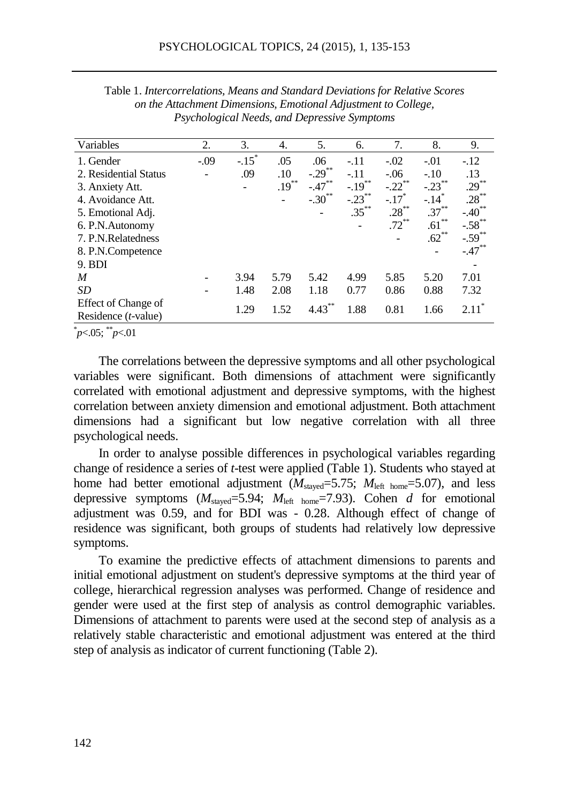| Variables                                     | 2.     | 3.                       | 4.       | 5.                   | 6.                   | 7.                  | 8.                  | 9.                   |
|-----------------------------------------------|--------|--------------------------|----------|----------------------|----------------------|---------------------|---------------------|----------------------|
| 1. Gender                                     | $-.09$ | $-.15$ <sup>*</sup>      | .05      | .06                  | $-.11$               | $-.02$              | $-.01$              | $-.12$               |
| 2. Residential Status                         |        | .09                      | .10      | $-.29$ <sup>**</sup> | $-.11$               | $-.06$              | $-.10$              | .13                  |
| 3. Anxiety Att.                               |        | $\overline{\phantom{a}}$ | $.19***$ | $-.47***$            | $-.19$ <sup>**</sup> | $-22$ <sup>**</sup> | $-23$               | .29                  |
| 4. Avoidance Att.                             |        |                          |          | $-.30$               | $-23$ <sup>**</sup>  | $-.17$ <sup>*</sup> | $-.14$ <sup>*</sup> | $.28***$             |
| 5. Emotional Adj.                             |        |                          |          |                      | $.35***$             | $.28***$            | $.37***$            | $-.40$ <sup>**</sup> |
| 6. P.N. Autonomy                              |        |                          |          |                      |                      | .72                 | .61                 | $-.58$ <sup>**</sup> |
| 7. P.N. Relatedness                           |        |                          |          |                      |                      |                     | $.62$ <sup>**</sup> | $-.59$ <sup>**</sup> |
| 8. P.N.Competence                             |        |                          |          |                      |                      |                     |                     | $-.47***$            |
| 9. BDI                                        |        |                          |          |                      |                      |                     |                     |                      |
| M                                             |        | 3.94                     | 5.79     | 5.42                 | 4.99                 | 5.85                | 5.20                | 7.01                 |
| <b>SD</b>                                     |        | 1.48                     | 2.08     | 1.18                 | 0.77                 | 0.86                | 0.88                | 7.32                 |
| Effect of Change of<br>Residence $(t$ -value) |        | 1.29                     | 1.52     | 4.43                 | 1.88                 | 0.81                | 1.66                | 2.11                 |

Table 1. *Intercorrelations, Means and Standard Deviations for Relative Scores on the Attachment Dimensions, Emotional Adjustment to College, Psychological Needs, and Depressive Symptoms*

\* *p*<.05; \*\**p*<.01

The correlations between the depressive symptoms and all other psychological variables were significant. Both dimensions of attachment were significantly correlated with emotional adjustment and depressive symptoms, with the highest correlation between anxiety dimension and emotional adjustment. Both attachment dimensions had a significant but low negative correlation with all three psychological needs.

In order to analyse possible differences in psychological variables regarding change of residence a series of *t*-test were applied (Table 1). Students who stayed at home had better emotional adjustment  $(M_{\text{staved}}=5.75; M_{\text{left home}}=5.07)$ , and less depressive symptoms  $(M_{\text{staved}}=5.94; M_{\text{left home}}=7.93)$ . Cohen *d* for emotional adjustment was 0.59, and for BDI was - 0.28. Although effect of change of residence was significant, both groups of students had relatively low depressive symptoms.

To examine the predictive effects of attachment dimensions to parents and initial emotional adjustment on student's depressive symptoms at the third year of college, hierarchical regression analyses was performed. Change of residence and gender were used at the first step of analysis as control demographic variables. Dimensions of attachment to parents were used at the second step of analysis as a relatively stable characteristic and emotional adjustment was entered at the third step of analysis as indicator of current functioning (Table 2).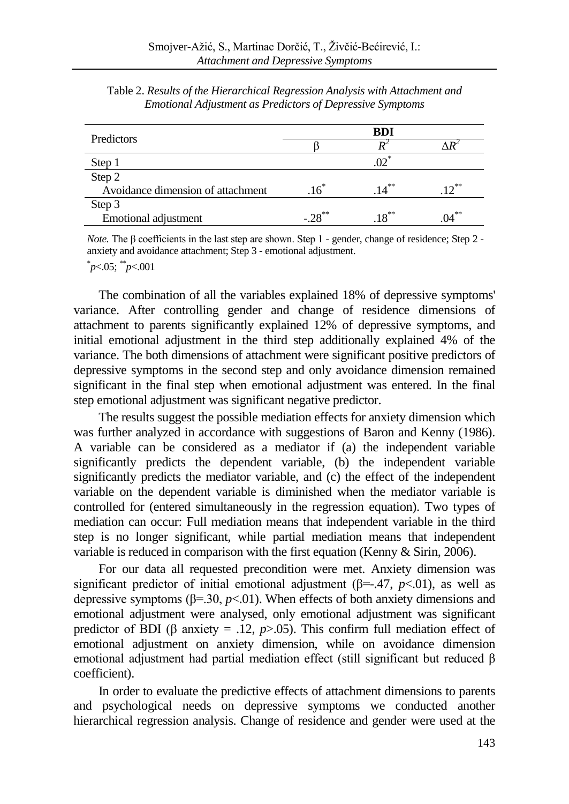| Predictors                        | BDI        |          |                |  |  |  |
|-----------------------------------|------------|----------|----------------|--|--|--|
|                                   |            |          |                |  |  |  |
| Step 1                            |            | $.02*$   |                |  |  |  |
| Step 2                            |            |          |                |  |  |  |
| Avoidance dimension of attachment | 16         | $.14***$ | $12^{**}$      |  |  |  |
| Step 3                            |            |          |                |  |  |  |
| Emotional adjustment              | $-28^{**}$ | $.18***$ | $(1)^{4^{**}}$ |  |  |  |

Table 2. *Results of the Hierarchical Regression Analysis with Attachment and Emotional Adjustment as Predictors of Depressive Symptoms*

*Note*. The β coefficients in the last step are shown. Step 1 - gender, change of residence; Step 2 anxiety and avoidance attachment; Step 3 - emotional adjustment.

\* *p*<.05; \*\**p*<.001

The combination of all the variables explained 18% of depressive symptoms' variance. After controlling gender and change of residence dimensions of attachment to parents significantly explained 12% of depressive symptoms, and initial emotional adjustment in the third step additionally explained 4% of the variance. The both dimensions of attachment were significant positive predictors of depressive symptoms in the second step and only avoidance dimension remained significant in the final step when emotional adjustment was entered. In the final step emotional adjustment was significant negative predictor.

The results suggest the possible mediation effects for anxiety dimension which was further analyzed in accordance with suggestions of Baron and Kenny (1986). A variable can be considered as a mediator if (a) the independent variable significantly predicts the dependent variable, (b) the independent variable significantly predicts the mediator variable, and (c) the effect of the independent variable on the dependent variable is diminished when the mediator variable is controlled for (entered simultaneously in the regression equation). Two types of mediation can occur: Full mediation means that independent variable in the third step is no longer significant, while partial mediation means that independent variable is reduced in comparison with the first equation (Kenny & Sirin, 2006).

For our data all requested precondition were met. Anxiety dimension was significant predictor of initial emotional adjustment ( $\beta$ =-.47, *p*<.01), as well as depressive symptoms ( $\beta$ =.30,  $p$ <.01). When effects of both anxiety dimensions and emotional adjustment were analysed, only emotional adjustment was significant predictor of BDI ( $\beta$  anxiety = .12, *p*>.05). This confirm full mediation effect of emotional adjustment on anxiety dimension, while on avoidance dimension emotional adjustment had partial mediation effect (still significant but reduced β coefficient).

In order to evaluate the predictive effects of attachment dimensions to parents and psychological needs on depressive symptoms we conducted another hierarchical regression analysis. Change of residence and gender were used at the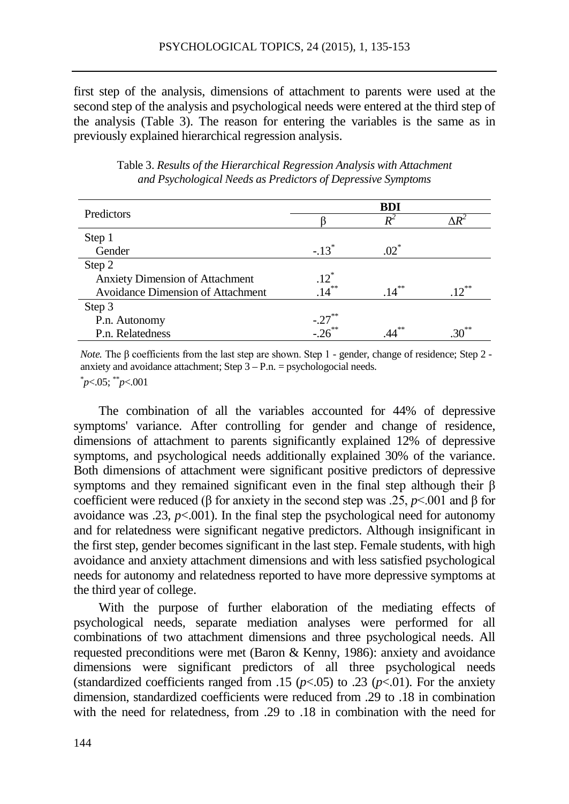first step of the analysis, dimensions of attachment to parents were used at the second step of the analysis and psychological needs were entered at the third step of the analysis (Table 3). The reason for entering the variables is the same as in previously explained hierarchical regression analysis.

| Predictors                               | <b>BDI</b>          |                    |           |  |  |  |
|------------------------------------------|---------------------|--------------------|-----------|--|--|--|
|                                          |                     |                    |           |  |  |  |
| Step 1                                   |                     |                    |           |  |  |  |
| Gender                                   | $-.13$ <sup>*</sup> | $.02^*$            |           |  |  |  |
| Step 2                                   |                     |                    |           |  |  |  |
| <b>Anxiety Dimension of Attachment</b>   | $.12$ <sup>*</sup>  |                    |           |  |  |  |
| <b>Avoidance Dimension of Attachment</b> | $.14***$            | $.14***$           | $12^{**}$ |  |  |  |
| Step 3                                   |                     |                    |           |  |  |  |
| P.n. Autonomy                            | $-.27$              |                    |           |  |  |  |
| P.n. Relatedness                         | $-.26***$           | $44$ <sup>**</sup> | $30^{**}$ |  |  |  |

Table 3. *Results of the Hierarchical Regression Analysis with Attachment and Psychological Needs as Predictors of Depressive Symptoms*

*Note.* The β coefficients from the last step are shown. Step 1 - gender, change of residence; Step 2 anxiety and avoidance attachment; Step  $3 - P.n.$  = psychologocial needs.

\* *p*<.05; \*\**p*<.001

The combination of all the variables accounted for 44% of depressive symptoms' variance. After controlling for gender and change of residence, dimensions of attachment to parents significantly explained 12% of depressive symptoms, and psychological needs additionally explained 30% of the variance. Both dimensions of attachment were significant positive predictors of depressive symptoms and they remained significant even in the final step although their β coefficient were reduced (β for anxiety in the second step was .25,  $p$ <.001 and β for avoidance was .23,  $p<0.001$ ). In the final step the psychological need for autonomy and for relatedness were significant negative predictors. Although insignificant in the first step, gender becomes significant in the last step. Female students, with high avoidance and anxiety attachment dimensions and with less satisfied psychological needs for autonomy and relatedness reported to have more depressive symptoms at the third year of college.

With the purpose of further elaboration of the mediating effects of psychological needs, separate mediation analyses were performed for all combinations of two attachment dimensions and three psychological needs. All requested preconditions were met (Baron & Kenny, 1986): anxiety and avoidance dimensions were significant predictors of all three psychological needs (standardized coefficients ranged from .15 ( $p$ <.05) to .23 ( $p$ <.01). For the anxiety dimension, standardized coefficients were reduced from .29 to .18 in combination with the need for relatedness, from .29 to .18 in combination with the need for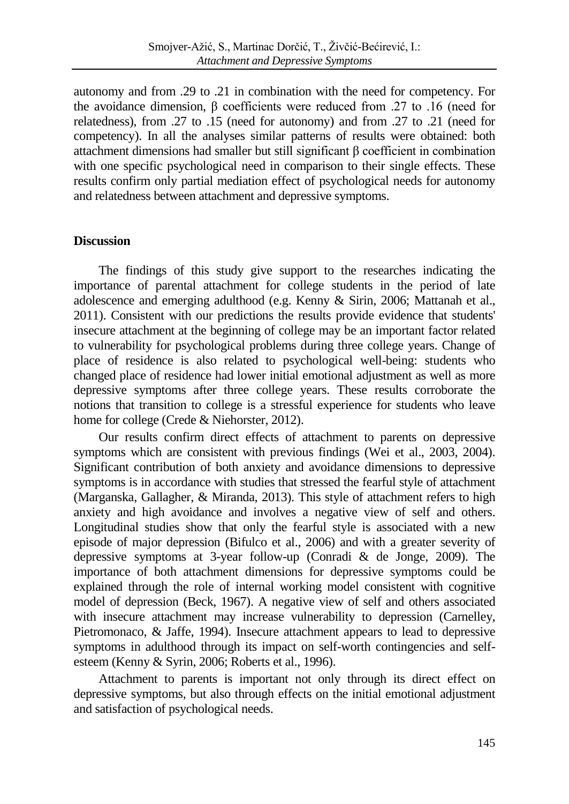autonomy and from .29 to .21 in combination with the need for competency. For the avoidance dimension, β coefficients were reduced from .27 to .16 (need for relatedness), from .27 to .15 (need for autonomy) and from .27 to .21 (need for competency). In all the analyses similar patterns of results were obtained: both attachment dimensions had smaller but still significant β coefficient in combination with one specific psychological need in comparison to their single effects. These results confirm only partial mediation effect of psychological needs for autonomy and relatedness between attachment and depressive symptoms.

## **Discussion**

The findings of this study give support to the researches indicating the importance of parental attachment for college students in the period of late adolescence and emerging adulthood (e.g. Kenny & Sirin, 2006; Mattanah et al., 2011). Consistent with our predictions the results provide evidence that students' insecure attachment at the beginning of college may be an important factor related to vulnerability for psychological problems during three college years. Change of place of residence is also related to psychological well-being: students who changed place of residence had lower initial emotional adjustment as well as more depressive symptoms after three college years. These results corroborate the notions that transition to college is a stressful experience for students who leave home for college (Crede & Niehorster, 2012).

Our results confirm direct effects of attachment to parents on depressive symptoms which are consistent with previous findings (Wei et al., 2003, 2004). Significant contribution of both anxiety and avoidance dimensions to depressive symptoms is in accordance with studies that stressed the fearful style of attachment (Marganska, Gallagher, & Miranda, 2013). This style of attachment refers to high anxiety and high avoidance and involves a negative view of self and others. Longitudinal studies show that only the fearful style is associated with a new episode of major depression (Bifulco et al., 2006) and with a greater severity of depressive symptoms at 3-year follow-up (Conradi & de Jonge, 2009). The importance of both attachment dimensions for depressive symptoms could be explained through the role of internal working model consistent with cognitive model of depression (Beck, 1967). A negative view of self and others associated with insecure attachment may increase vulnerability to depression (Carnelley, Pietromonaco, & Jaffe, 1994). Insecure attachment appears to lead to depressive symptoms in adulthood through its impact on self-worth contingencies and selfesteem (Kenny & Syrin, 2006; Roberts et al., 1996).

Attachment to parents is important not only through its direct effect on depressive symptoms, but also through effects on the initial emotional adjustment and satisfaction of psychological needs.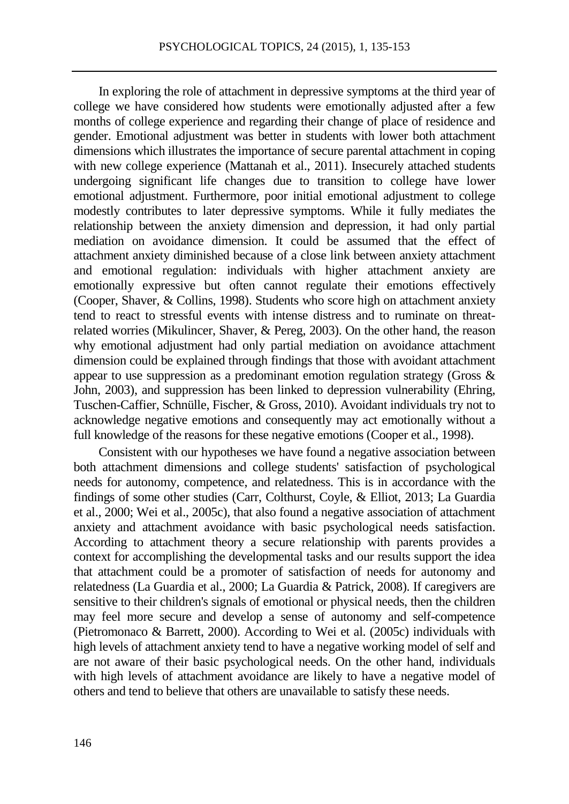In exploring the role of attachment in depressive symptoms at the third year of college we have considered how students were emotionally adjusted after a few months of college experience and regarding their change of place of residence and gender. Emotional adjustment was better in students with lower both attachment dimensions which illustrates the importance of secure parental attachment in coping with new college experience (Mattanah et al., 2011). Insecurely attached students undergoing significant life changes due to transition to college have lower emotional adjustment. Furthermore, poor initial emotional adjustment to college modestly contributes to later depressive symptoms. While it fully mediates the relationship between the anxiety dimension and depression, it had only partial mediation on avoidance dimension. It could be assumed that the effect of attachment anxiety diminished because of a close link between anxiety attachment and emotional regulation: individuals with higher attachment anxiety are emotionally expressive but often cannot regulate their emotions effectively (Cooper, Shaver, & Collins, 1998). Students who score high on attachment anxiety tend to react to stressful events with intense distress and to ruminate on threatrelated worries (Mikulincer, Shaver, & Pereg, 2003). On the other hand, the reason why emotional adjustment had only partial mediation on avoidance attachment dimension could be explained through findings that those with avoidant attachment appear to use suppression as a predominant emotion regulation strategy (Gross & John, 2003), and suppression has been linked to depression vulnerability (Ehring, Tuschen-Caffier, Schnülle, Fischer, & Gross, 2010). Avoidant individuals try not to acknowledge negative emotions and consequently may act emotionally without a full knowledge of the reasons for these negative emotions (Cooper et al., 1998).

Consistent with our hypotheses we have found a negative association between both attachment dimensions and college students' satisfaction of psychological needs for autonomy, competence, and relatedness. This is in accordance with the findings of some other studies (Carr, Colthurst, Coyle, & Elliot, 2013; La Guardia et al., 2000; Wei et al., 2005c), that also found a negative association of attachment anxiety and attachment avoidance with basic psychological needs satisfaction. According to attachment theory a secure relationship with parents provides a context for accomplishing the developmental tasks and our results support the idea that attachment could be a promoter of satisfaction of needs for autonomy and relatedness (La Guardia et al., 2000; La Guardia & Patrick, 2008). If caregivers are sensitive to their children's signals of emotional or physical needs, then the children may feel more secure and develop a sense of autonomy and self-competence (Pietromonaco & Barrett, 2000). According to Wei et al. (2005c) individuals with high levels of attachment anxiety tend to have a negative working model of self and are not aware of their basic psychological needs. On the other hand, individuals with high levels of attachment avoidance are likely to have a negative model of others and tend to believe that others are unavailable to satisfy these needs.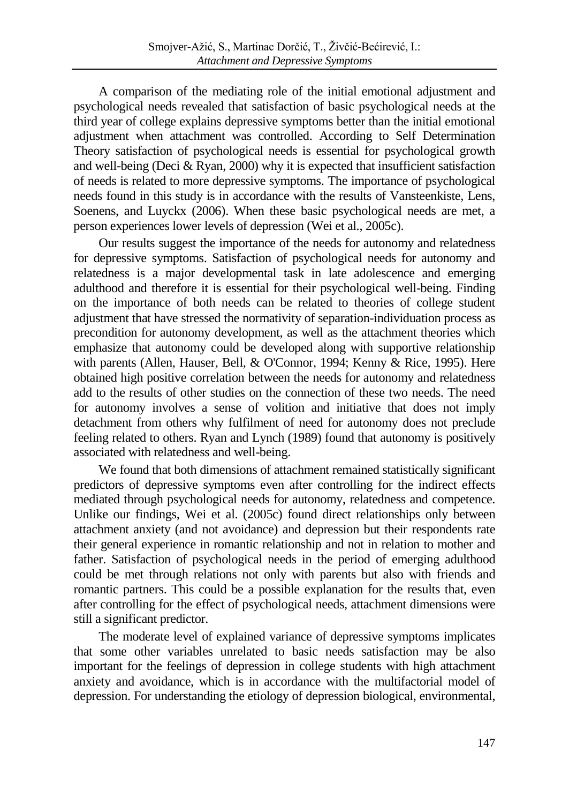A comparison of the mediating role of the initial emotional adjustment and psychological needs revealed that satisfaction of basic psychological needs at the third year of college explains depressive symptoms better than the initial emotional adjustment when attachment was controlled. According to Self Determination Theory satisfaction of psychological needs is essential for psychological growth and well-being (Deci & Ryan, 2000) why it is expected that insufficient satisfaction of needs is related to more depressive symptoms. The importance of psychological needs found in this study is in accordance with the results of Vansteenkiste, Lens, Soenens, and Luyckx (2006). When these basic psychological needs are met, a person experiences lower levels of depression (Wei et al., 2005c).

Our results suggest the importance of the needs for autonomy and relatedness for depressive symptoms. Satisfaction of psychological needs for autonomy and relatedness is a major developmental task in late adolescence and emerging adulthood and therefore it is essential for their psychological well-being. Finding on the importance of both needs can be related to theories of college student adjustment that have stressed the normativity of separation-individuation process as precondition for autonomy development, as well as the attachment theories which emphasize that autonomy could be developed along with supportive relationship with parents (Allen, Hauser, Bell, & O'Connor, 1994; Kenny & Rice, 1995). Here obtained high positive correlation between the needs for autonomy and relatedness add to the results of other studies on the connection of these two needs. The need for autonomy involves a sense of volition and initiative that does not imply detachment from others why fulfilment of need for autonomy does not preclude feeling related to others. Ryan and Lynch (1989) found that autonomy is positively associated with relatedness and well-being.

We found that both dimensions of attachment remained statistically significant predictors of depressive symptoms even after controlling for the indirect effects mediated through psychological needs for autonomy, relatedness and competence. Unlike our findings, Wei et al. (2005c) found direct relationships only between attachment anxiety (and not avoidance) and depression but their respondents rate their general experience in romantic relationship and not in relation to mother and father. Satisfaction of psychological needs in the period of emerging adulthood could be met through relations not only with parents but also with friends and romantic partners. This could be a possible explanation for the results that, even after controlling for the effect of psychological needs, attachment dimensions were still a significant predictor.

The moderate level of explained variance of depressive symptoms implicates that some other variables unrelated to basic needs satisfaction may be also important for the feelings of depression in college students with high attachment anxiety and avoidance, which is in accordance with the multifactorial model of depression. For understanding the etiology of depression biological, environmental,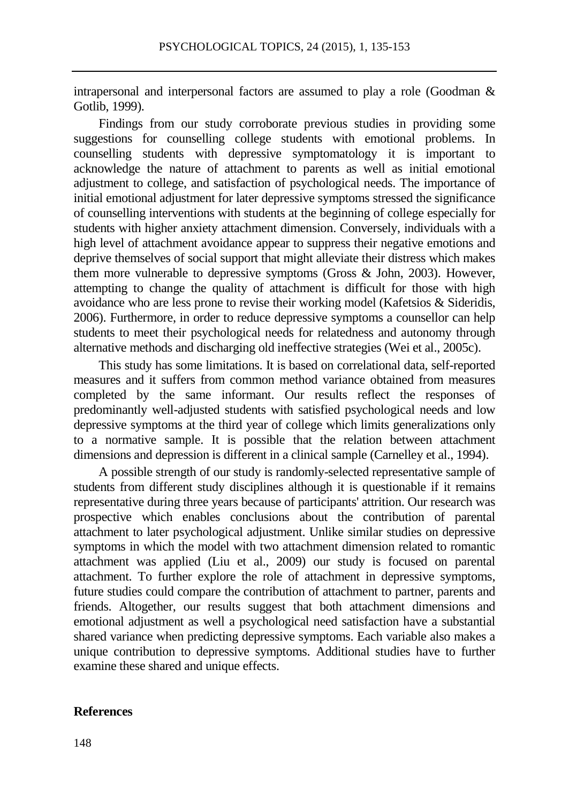intrapersonal and interpersonal factors are assumed to play a role (Goodman & Gotlib, 1999).

Findings from our study corroborate previous studies in providing some suggestions for counselling college students with emotional problems. In counselling students with depressive symptomatology it is important to acknowledge the nature of attachment to parents as well as initial emotional adjustment to college, and satisfaction of psychological needs. The importance of initial emotional adjustment for later depressive symptoms stressed the significance of counselling interventions with students at the beginning of college especially for students with higher anxiety attachment dimension. Conversely, individuals with a high level of attachment avoidance appear to suppress their negative emotions and deprive themselves of social support that might alleviate their distress which makes them more vulnerable to depressive symptoms (Gross & John, 2003). However, attempting to change the quality of attachment is difficult for those with high avoidance who are less prone to revise their working model (Kafetsios & Sideridis, 2006). Furthermore, in order to reduce depressive symptoms a counsellor can help students to meet their psychological needs for relatedness and autonomy through alternative methods and discharging old ineffective strategies (Wei et al., 2005c).

This study has some limitations. It is based on correlational data, self-reported measures and it suffers from common method variance obtained from measures completed by the same informant. Our results reflect the responses of predominantly well-adjusted students with satisfied psychological needs and low depressive symptoms at the third year of college which limits generalizations only to a normative sample. It is possible that the relation between attachment dimensions and depression is different in a clinical sample (Carnelley et al., 1994).

A possible strength of our study is randomly-selected representative sample of students from different study disciplines although it is questionable if it remains representative during three years because of participants' attrition. Our research was prospective which enables conclusions about the contribution of parental attachment to later psychological adjustment. Unlike similar studies on depressive symptoms in which the model with two attachment dimension related to romantic attachment was applied (Liu et al., 2009) our study is focused on parental attachment. To further explore the role of attachment in depressive symptoms, future studies could compare the contribution of attachment to partner, parents and friends. Altogether, our results suggest that both attachment dimensions and emotional adjustment as well a psychological need satisfaction have a substantial shared variance when predicting depressive symptoms. Each variable also makes a unique contribution to depressive symptoms. Additional studies have to further examine these shared and unique effects.

#### **References**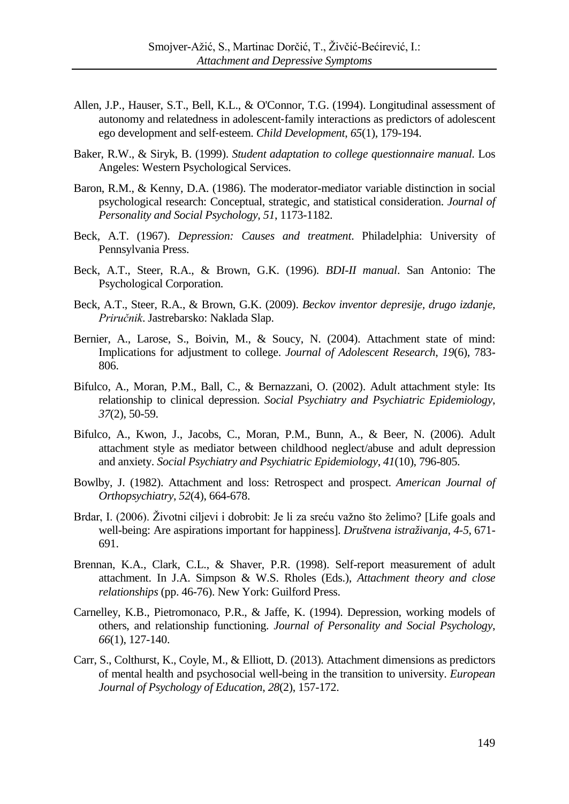- Allen, J.P., Hauser, S.T., Bell, K.L., & O'Connor, T.G. (1994). Longitudinal assessment of autonomy and relatedness in adolescent‐family interactions as predictors of adolescent ego development and self‐esteem. *Child Development*, *65*(1), 179-194.
- Baker, R.W., & Siryk, B. (1999). *Student adaptation to college questionnaire manual*. Los Angeles: Western Psychological Services.
- Baron, R.M., & Kenny, D.A. (1986). The moderator-mediator variable distinction in social psychological research: Conceptual, strategic, and statistical consideration. *Journal of Personality and Social Psychology, 51*, 1173-1182.
- Beck, A.T. (1967). *Depression: Causes and treatment*. Philadelphia: University of Pennsylvania Press.
- Beck, A.T., Steer, R.A., & Brown, G.K. (1996). *BDI-II manual*. San Antonio: The Psychological Corporation.
- Beck, A.T., Steer, R.A., & Brown, G.K. (2009). *Beckov inventor depresije, drugo izdanje, Priručnik*. Jastrebarsko: Naklada Slap.
- Bernier, A., Larose, S., Boivin, M., & Soucy, N. (2004). Attachment state of mind: Implications for adjustment to college. *Journal of Adolescent Research*, *19*(6), 783- 806.
- Bifulco, A., Moran, P.M., Ball, C., & Bernazzani, O. (2002). Adult attachment style: Its relationship to clinical depression. *Social Psychiatry and Psychiatric Epidemiology*, *37*(2), 50-59.
- Bifulco, A., Kwon, J., Jacobs, C., Moran, P.M., Bunn, A., & Beer, N. (2006). Adult attachment style as mediator between childhood neglect/abuse and adult depression and anxiety. *Social Psychiatry and Psychiatric Epidemiology*, *41*(10), 796-805.
- Bowlby, J. (1982). Attachment and loss: Retrospect and prospect. *American Journal of Orthopsychiatry*, *52*(4), 664-678.
- Brdar, I. (2006). Životni ciljevi i dobrobit: Je li za sreću važno što želimo? [Life goals and well-being: Are aspirations important for happiness]. *Društvena istraživanja*, *4-5*, 671- 691.
- Brennan, K.A., Clark, C.L., & Shaver, P.R. (1998). Self-report measurement of adult attachment. In J.A. Simpson & W.S. Rholes (Eds.), *Attachment theory and close relationships* (pp. 46-76). New York: Guilford Press.
- Carnelley, K.B., Pietromonaco, P.R., & Jaffe, K. (1994). Depression, working models of others, and relationship functioning. *Journal of Personality and Social Psychology*, *66*(1), 127-140.
- Carr, S., Colthurst, K., Coyle, M., & Elliott, D. (2013). Attachment dimensions as predictors of mental health and psychosocial well-being in the transition to university. *European Journal of Psychology of Education*, *28*(2), 157-172.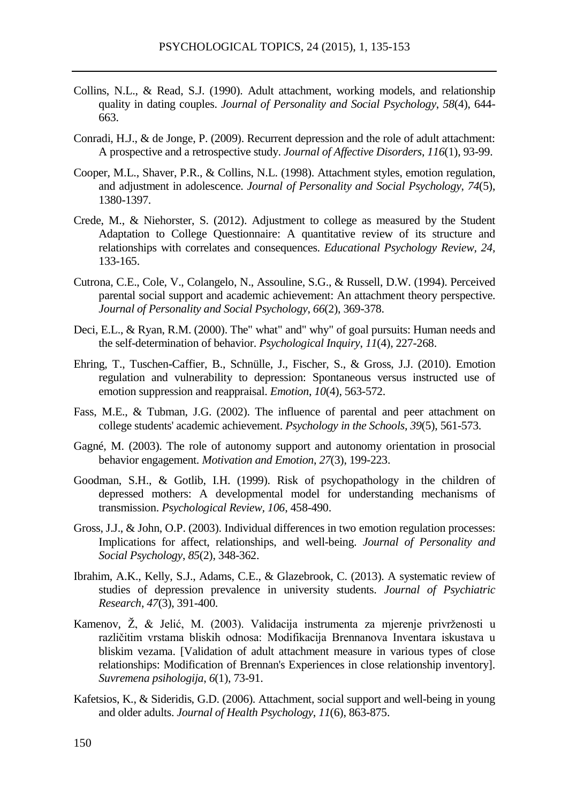- Collins, N.L., & Read, S.J. (1990). Adult attachment, working models, and relationship quality in dating couples. *Journal of Personality and Social Psychology*, *58*(4), 644- 663.
- Conradi, H.J., & de Jonge, P. (2009). Recurrent depression and the role of adult attachment: A prospective and a retrospective study. *Journal of Affective Disorders*, *116*(1), 93-99.
- Cooper, M.L., Shaver, P.R., & Collins, N.L. (1998). Attachment styles, emotion regulation, and adjustment in adolescence. *Journal of Personality and Social Psychology*, *74*(5), 1380-1397.
- Crede, M., & Niehorster, S. (2012). Adjustment to college as measured by the Student Adaptation to College Questionnaire: A quantitative review of its structure and relationships with correlates and consequences. *Educational Psychology Review, 24,* 133-165.
- Cutrona, C.E., Cole, V., Colangelo, N., Assouline, S.G., & Russell, D.W. (1994). Perceived parental social support and academic achievement: An attachment theory perspective. *Journal of Personality and Social Psychology*, *66*(2), 369-378.
- Deci, E.L., & Ryan, R.M. (2000). The" what" and" why" of goal pursuits: Human needs and the self-determination of behavior. *Psychological Inquiry*, *11*(4), 227-268.
- Ehring, T., Tuschen-Caffier, B., Schnülle, J., Fischer, S., & Gross, J.J. (2010). Emotion regulation and vulnerability to depression: Spontaneous versus instructed use of emotion suppression and reappraisal. *Emotion*, *10*(4), 563-572.
- Fass, M.E., & Tubman, J.G. (2002). The influence of parental and peer attachment on college students' academic achievement. *Psychology in the Schools*, *39*(5), 561-573.
- Gagné, M. (2003). The role of autonomy support and autonomy orientation in prosocial behavior engagement. *Motivation and Emotion*, *27*(3), 199-223.
- Goodman, S.H., & Gotlib, I.H. (1999). Risk of psychopathology in the children of depressed mothers: A developmental model for understanding mechanisms of transmission. *Psychological Review, 106*, 458-490.
- Gross, J.J., & John, O.P. (2003). Individual differences in two emotion regulation processes: Implications for affect, relationships, and well-being. *Journal of Personality and Social Psychology*, *85*(2), 348-362.
- Ibrahim, A.K., Kelly, S.J., Adams, C.E., & Glazebrook, C. (2013). A systematic review of studies of depression prevalence in university students. *Journal of Psychiatric Research*, *47*(3), 391-400.
- Kamenov, Ž, & Jelić, M. (2003). Validacija instrumenta za mjerenje privrženosti u različitim vrstama bliskih odnosa: Modifikacija Brennanova Inventara iskustava u bliskim vezama. [Validation of adult attachment measure in various types of close relationships: Modification of Brennan's Experiences in close relationship inventory]. *Suvremena psihologija*, *6*(1), 73-91.
- Kafetsios, K., & Sideridis, G.D. (2006). Attachment, social support and well-being in young and older adults. *Journal of Health Psychology*, *11*(6), 863-875.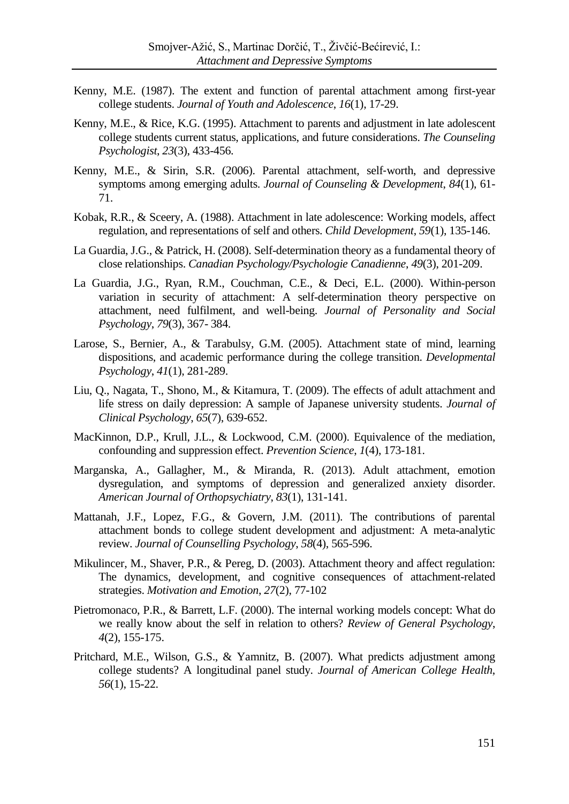- Kenny, M.E. (1987). The extent and function of parental attachment among first-year college students. *Journal of Youth and Adolescence*, *16*(1), 17-29.
- Kenny, M.E., & Rice, K.G. (1995). Attachment to parents and adjustment in late adolescent college students current status, applications, and future considerations. *The Counseling Psychologist*, *23*(3), 433-456.
- Kenny, M.E., & Sirin, S.R. (2006). Parental attachment, self-worth, and depressive symptoms among emerging adults. *Journal of Counseling & Development*, *84*(1), 61- 71.
- Kobak, R.R., & Sceery, A. (1988). Attachment in late adolescence: Working models, affect regulation, and representations of self and others. *Child Development*, *59*(1), 135-146.
- La Guardia, J.G., & Patrick, H. (2008). Self-determination theory as a fundamental theory of close relationships. *Canadian Psychology/Psychologie Canadienne*, *49*(3), 201-209.
- La Guardia, J.G., Ryan, R.M., Couchman, C.E., & Deci, E.L. (2000). Within-person variation in security of attachment: A self-determination theory perspective on attachment, need fulfilment, and well-being. *Journal of Personality and Social Psychology*, *79*(3), 367- 384.
- Larose, S., Bernier, A., & Tarabulsy, G.M. (2005). Attachment state of mind, learning dispositions, and academic performance during the college transition. *Developmental Psychology*, *41*(1), 281-289.
- Liu, Q., Nagata, T., Shono, M., & Kitamura, T. (2009). The effects of adult attachment and life stress on daily depression: A sample of Japanese university students. *Journal of Clinical Psychology*, *65*(7), 639-652.
- MacKinnon, D.P., Krull, J.L., & Lockwood, C.M. (2000). Equivalence of the mediation, confounding and suppression effect. *Prevention Science*, *1*(4), 173-181.
- Marganska, A., Gallagher, M., & Miranda, R. (2013). Adult attachment, emotion dysregulation, and symptoms of depression and generalized anxiety disorder. *American Journal of Orthopsychiatry*, *83*(1), 131-141.
- Mattanah, J.F., Lopez, F.G., & Govern, J.M. (2011). The contributions of parental attachment bonds to college student development and adjustment: A meta-analytic review. *Journal of Counselling Psychology*, *58*(4), 565-596.
- Mikulincer, M., Shaver, P.R., & Pereg, D. (2003). Attachment theory and affect regulation: The dynamics, development, and cognitive consequences of attachment-related strategies. *Motivation and Emotion*, *27*(2), 77-102
- Pietromonaco, P.R., & Barrett, L.F. (2000). The internal working models concept: What do we really know about the self in relation to others? *Review of General Psychology*, *4*(2), 155-175.
- Pritchard, M.E., Wilson, G.S., & Yamnitz, B. (2007). What predicts adjustment among college students? A longitudinal panel study. *Journal of American College Health*, *56*(1), 15-22.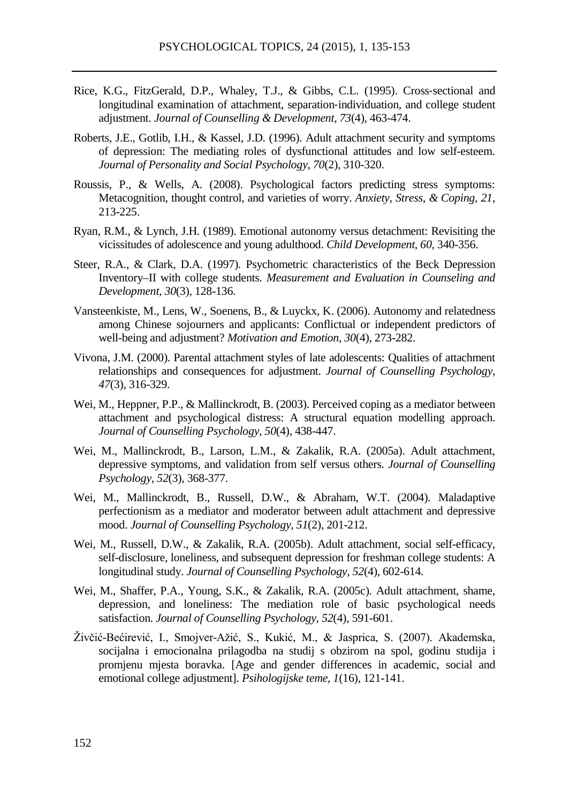- Rice, K.G., FitzGerald, D.P., Whaley, T.J., & Gibbs, C.L. (1995). Cross‐sectional and longitudinal examination of attachment, separation‐individuation, and college student adjustment. *Journal of Counselling & Development*, *73*(4), 463-474.
- Roberts, J.E., Gotlib, I.H., & Kassel, J.D. (1996). Adult attachment security and symptoms of depression: The mediating roles of dysfunctional attitudes and low self-esteem. *Journal of Personality and Social Psychology*, *70*(2), 310-320.
- Roussis, P., & Wells, A. (2008). Psychological factors predicting stress symptoms: Metacognition, thought control, and varieties of worry. *Anxiety, Stress, & Coping, 21*, 213-225.
- Ryan, R.M., & Lynch, J.H. (1989). Emotional autonomy versus detachment: Revisiting the vicissitudes of adolescence and young adulthood. *Child Development*, *60,* 340-356.
- Steer, R.A., & Clark, D.A. (1997). Psychometric characteristics of the Beck Depression Inventory–II with college students. *Measurement and Evaluation in Counseling and Development, 30*(3), 128-136.
- Vansteenkiste, M., Lens, W., Soenens, B., & Luyckx, K. (2006). Autonomy and relatedness among Chinese sojourners and applicants: Conflictual or independent predictors of well-being and adjustment? *Motivation and Emotion*, *30*(4), 273-282.
- Vivona, J.M. (2000). Parental attachment styles of late adolescents: Qualities of attachment relationships and consequences for adjustment. *Journal of Counselling Psychology*, *47*(3), 316-329.
- Wei, M., Heppner, P.P., & Mallinckrodt, B. (2003). Perceived coping as a mediator between attachment and psychological distress: A structural equation modelling approach. *Journal of Counselling Psychology*, *50*(4), 438-447.
- Wei, M., Mallinckrodt, B., Larson, L.M., & Zakalik, R.A. (2005a). Adult attachment, depressive symptoms, and validation from self versus others. *Journal of Counselling Psychology*, *52*(3), 368-377.
- Wei, M., Mallinckrodt, B., Russell, D.W., & Abraham, W.T. (2004). Maladaptive perfectionism as a mediator and moderator between adult attachment and depressive mood. *Journal of Counselling Psychology*, *51*(2), 201-212.
- Wei, M., Russell, D.W., & Zakalik, R.A. (2005b). Adult attachment, social self-efficacy, self-disclosure, loneliness, and subsequent depression for freshman college students: A longitudinal study. *Journal of Counselling Psychology*, *52*(4), 602-614.
- Wei, M., Shaffer, P.A., Young, S.K., & Zakalik, R.A. (2005c). Adult attachment, shame, depression, and loneliness: The mediation role of basic psychological needs satisfaction. *Journal of Counselling Psychology*, *52*(4), 591-601.
- Živčić-Bećirević, I., Smojver-Ažić, S., Kukić, M., & Jasprica, S. (2007). Akademska, socijalna i emocionalna prilagodba na studij s obzirom na spol, godinu studija i promjenu mjesta boravka. [Age and gender differences in academic, social and emotional college adjustment]. *Psihologijske teme, 1*(16), 121-141.